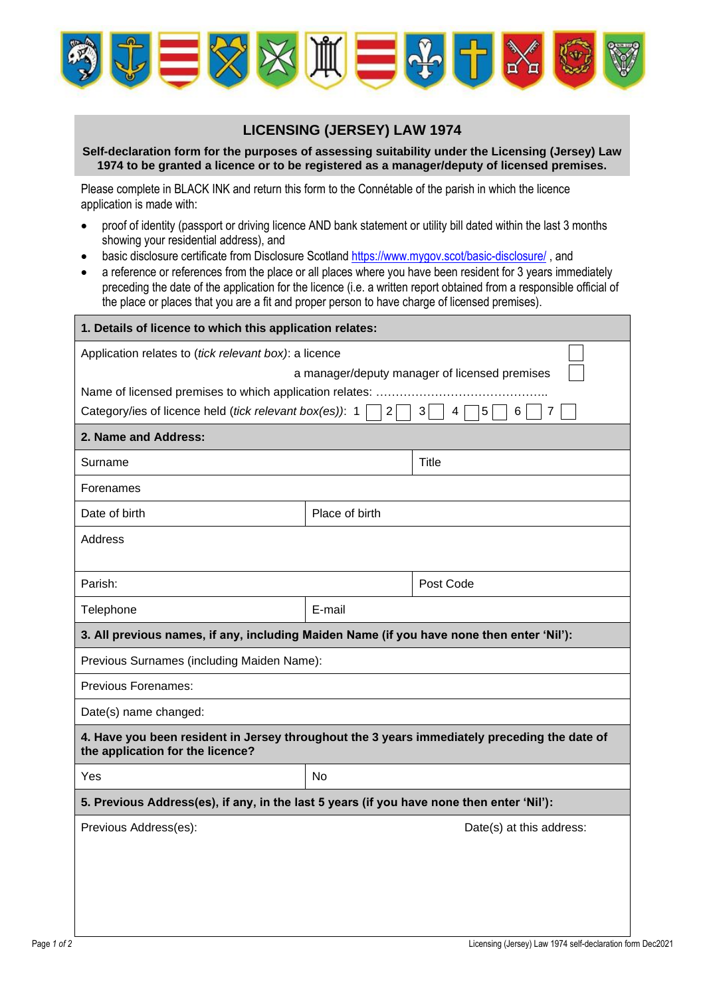

## **LICENSING (JERSEY) LAW 1974**

## **Self-declaration form for the purposes of assessing suitability under the Licensing (Jersey) Law 1974 to be granted a licence or to be registered as a manager/deputy of licensed premises.**

Please complete in BLACK INK and return this form to the Connétable of the parish in which the licence application is made with:

- proof of identity (passport or driving licence AND bank statement or utility bill dated within the last 3 months showing your residential address), and
- basic disclosure certificate from Disclosure Scotland <https://www.mygov.scot/basic-disclosure/>, and
- a reference or references from the place or all places where you have been resident for 3 years immediately preceding the date of the application for the licence (i.e. a written report obtained from a responsible official of the place or places that you are a fit and proper person to have charge of licensed premises).

| 1. Details of licence to which this application relates:                                                                         |                |                          |  |  |  |  |
|----------------------------------------------------------------------------------------------------------------------------------|----------------|--------------------------|--|--|--|--|
| Application relates to (tick relevant box): a licence                                                                            |                |                          |  |  |  |  |
| a manager/deputy manager of licensed premises                                                                                    |                |                          |  |  |  |  |
| Name of licensed premises to which application relates:                                                                          |                |                          |  |  |  |  |
| Category/ies of licence held (tick relevant box(es)): 1<br>$\overline{2}$<br>3<br>4<br>5<br>6                                    |                |                          |  |  |  |  |
| 2. Name and Address:                                                                                                             |                |                          |  |  |  |  |
| Surname                                                                                                                          |                | Title                    |  |  |  |  |
| Forenames                                                                                                                        |                |                          |  |  |  |  |
| Date of birth                                                                                                                    | Place of birth |                          |  |  |  |  |
| Address                                                                                                                          |                |                          |  |  |  |  |
| Parish:                                                                                                                          |                | Post Code                |  |  |  |  |
| Telephone                                                                                                                        | E-mail         |                          |  |  |  |  |
| 3. All previous names, if any, including Maiden Name (if you have none then enter 'Nil'):                                        |                |                          |  |  |  |  |
| Previous Surnames (including Maiden Name):                                                                                       |                |                          |  |  |  |  |
| <b>Previous Forenames:</b>                                                                                                       |                |                          |  |  |  |  |
| Date(s) name changed:                                                                                                            |                |                          |  |  |  |  |
| 4. Have you been resident in Jersey throughout the 3 years immediately preceding the date of<br>the application for the licence? |                |                          |  |  |  |  |
| Yes                                                                                                                              | N <sub>o</sub> |                          |  |  |  |  |
| 5. Previous Address(es), if any, in the last 5 years (if you have none then enter 'Nil'):                                        |                |                          |  |  |  |  |
| Previous Address(es):                                                                                                            |                | Date(s) at this address: |  |  |  |  |
|                                                                                                                                  |                |                          |  |  |  |  |
|                                                                                                                                  |                |                          |  |  |  |  |
|                                                                                                                                  |                |                          |  |  |  |  |
|                                                                                                                                  |                |                          |  |  |  |  |
|                                                                                                                                  |                |                          |  |  |  |  |